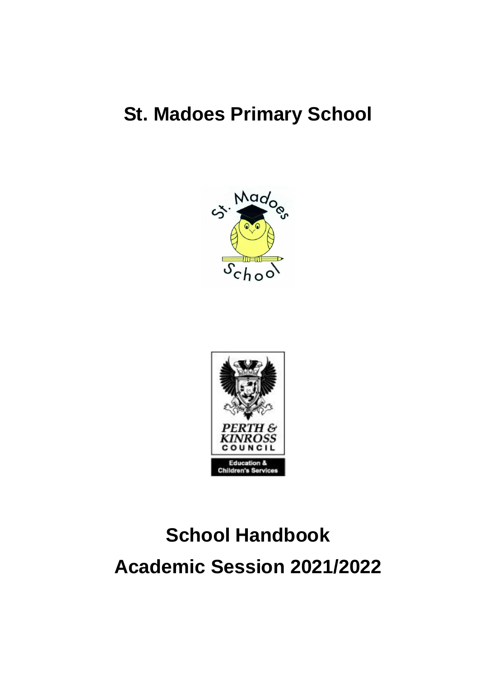# **St. Madoes Primary School**





# **School Handbook Academic Session 2021/2022**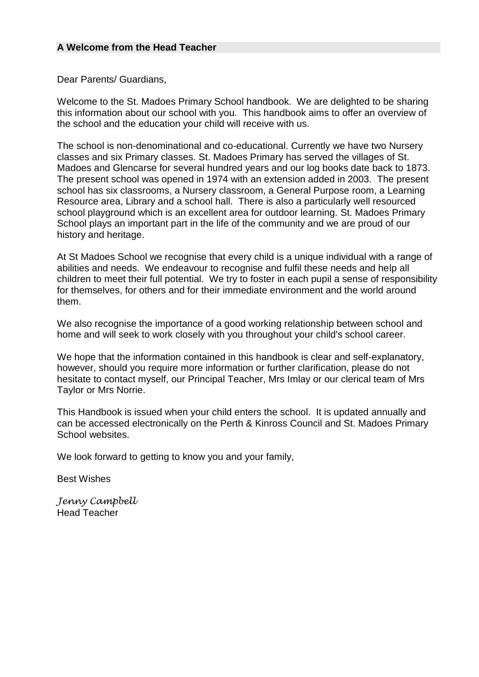#### **A Welcome from the Head Teacher**

Dear Parents/ Guardians,

Welcome to the St. Madoes Primary School handbook. We are delighted to be sharing this information about our school with you. This handbook aims to offer an overview of the school and the education your child will receive with us.

The school is non-denominational and co-educational. Currently we have two Nursery classes and six Primary classes. St. Madoes Primary has served the villages of St. Madoes and Glencarse for several hundred years and our log books date back to 1873. The present school was opened in 1974 with an extension added in 2003. The present school has six classrooms, a Nursery classroom, a General Purpose room, a Learning Resource area, Library and a school hall. There is also a particularly well resourced school playground which is an excellent area for outdoor learning. St. Madoes Primary School plays an important part in the life of the community and we are proud of our history and heritage.

At St Madoes School we recognise that every child is a unique individual with a range of abilities and needs. We endeavour to recognise and fulfil these needs and help all children to meet their full potential. We try to foster in each pupil a sense of responsibility for themselves, for others and for their immediate environment and the world around them.

We also recognise the importance of a good working relationship between school and home and will seek to work closely with you throughout your child's school career.

We hope that the information contained in this handbook is clear and self-explanatory. however, should you require more information or further clarification, please do not hesitate to contact myself, our Principal Teacher, Mrs Imlay or our clerical team of Mrs Taylor or Mrs Norrie.

This Handbook is issued when your child enters the school. It is updated annually and can be accessed electronically on the Perth & Kinross Council and St. Madoes Primary School websites.

We look forward to getting to know you and your family,

Best Wishes

*Jenny Campbell* Head Teacher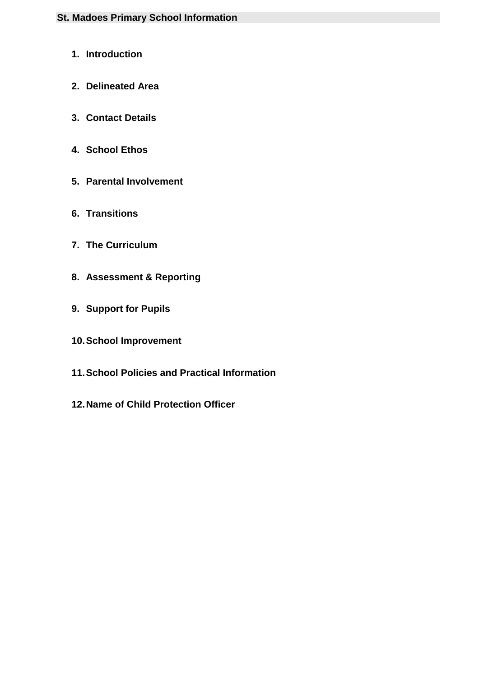# **St. Madoes Primary School Information**

- **1. Introduction**
- **2. Delineated Area**
- **3. Contact Details**
- **4. School Ethos**
- **5. Parental Involvement**
- **6. Transitions**
- **7. The Curriculum**
- **8. Assessment & Reporting**
- **9. Support for Pupils**
- **10.School Improvement**
- **11.School Policies and Practical Information**
- **12.Name of Child Protection Officer**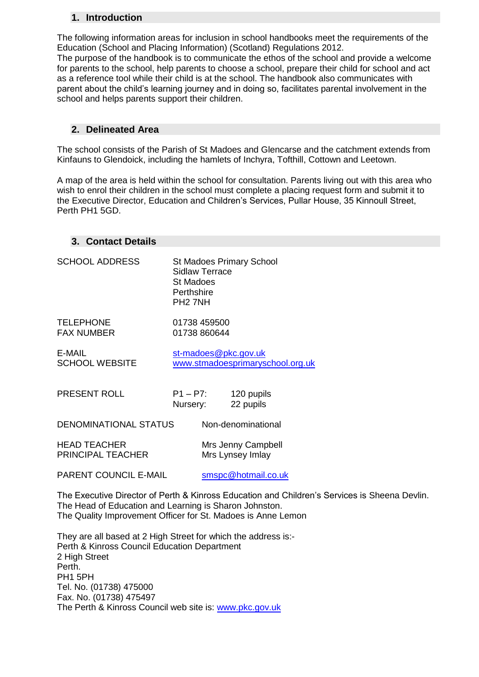#### **1. Introduction**

The following information areas for inclusion in school handbooks meet the requirements of the Education (School and Placing Information) (Scotland) Regulations 2012.

The purpose of the handbook is to communicate the ethos of the school and provide a welcome for parents to the school, help parents to choose a school, prepare their child for school and act as a reference tool while their child is at the school. The handbook also communicates with parent about the child's learning journey and in doing so, facilitates parental involvement in the school and helps parents support their children.

#### **2. Delineated Area**

The school consists of the Parish of St Madoes and Glencarse and the catchment extends from Kinfauns to Glendoick, including the hamlets of Inchyra, Tofthill, Cottown and Leetown.

A map of the area is held within the school for consultation. Parents living out with this area who wish to enrol their children in the school must complete a placing request form and submit it to the Executive Director, Education and Children's Services, Pullar House, 35 Kinnoull Street, Perth PH1 5GD.

#### **3. Contact Details**

| <b>SCHOOL ADDRESS</b>                                                                                                             | Sidlaw Terrace<br>St Madoes<br>Perthshire<br>PH <sub>2</sub> 7NH |                    | <b>St Madoes Primary School</b>                          |
|-----------------------------------------------------------------------------------------------------------------------------------|------------------------------------------------------------------|--------------------|----------------------------------------------------------|
| <b>TELEPHONE</b><br><b>FAX NUMBER</b>                                                                                             | 01738 459500<br>01738 860644                                     |                    |                                                          |
| E-MAIL<br><b>SCHOOL WEBSITE</b>                                                                                                   |                                                                  |                    | st-madoes@pkc.gov.uk<br>www.stmadoesprimaryschool.org.uk |
| PRESENT ROLL                                                                                                                      | $P1 - P7$ :<br>Nursery:                                          |                    | 120 pupils<br>22 pupils                                  |
| DENOMINATIONAL STATUS                                                                                                             |                                                                  | Non-denominational |                                                          |
| <b>HEAD TEACHER</b><br>PRINCIPAL TEACHER                                                                                          |                                                                  |                    | Mrs Jenny Campbell<br>Mrs Lynsey Imlay                   |
| PARENT COUNCIL E-MAIL                                                                                                             |                                                                  |                    | smspc@hotmail.co.uk                                      |
| The Executive Director of Perth & Kinross Education and Children's Serv<br>The Head of Education and Learning is Sharon, Johnston |                                                                  |                    |                                                          |

vices is Sheena Devlin. The Head of Education and Learning is Sharon Johnston. The Quality Improvement Officer for St. Madoes is Anne Lemon

They are all based at 2 High Street for which the address is:- Perth & Kinross Council Education Department 2 High Street Perth. PH1 5PH Tel. No. (01738) 475000 Fax. No. (01738) 475497 The Perth & Kinross Council web site is: [www.pkc.gov.uk](http://www.pkc.gov.uk/)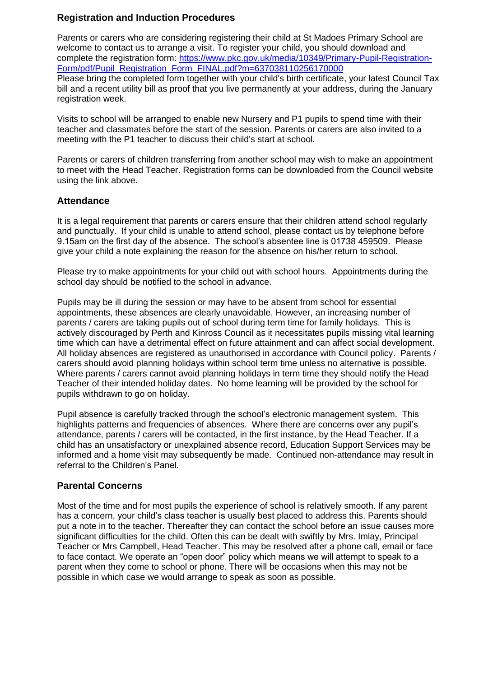#### **Registration and Induction Procedures**

Parents or carers who are considering registering their child at St Madoes Primary School are welcome to contact us to arrange a visit. To register your child, you should download and complete the registration form: [https://www.pkc.gov.uk/media/10349/Primary-Pupil-Registration-](https://www.pkc.gov.uk/media/10349/Primary-Pupil-Registration-Form/pdf/Pupil_Registration_Form_FINAL.pdf?m=637038110256170000)[Form/pdf/Pupil\\_Registration\\_Form\\_FINAL.pdf?m=637038110256170000](https://www.pkc.gov.uk/media/10349/Primary-Pupil-Registration-Form/pdf/Pupil_Registration_Form_FINAL.pdf?m=637038110256170000) Please bring the completed form together with your child's birth certificate, your latest Council Tax bill and a recent utility bill as proof that you live permanently at your address, during the January registration week.

Visits to school will be arranged to enable new Nursery and P1 pupils to spend time with their teacher and classmates before the start of the session. Parents or carers are also invited to a meeting with the P1 teacher to discuss their child's start at school.

Parents or carers of children transferring from another school may wish to make an appointment to meet with the Head Teacher. Registration forms can be downloaded from the Council website using the link above.

#### **Attendance**

It is a legal requirement that parents or carers ensure that their children attend school regularly and punctually. If your child is unable to attend school, please contact us by telephone before 9.15am on the first day of the absence. The school's absentee line is 01738 459509. Please give your child a note explaining the reason for the absence on his/her return to school.

Please try to make appointments for your child out with school hours. Appointments during the school day should be notified to the school in advance.

Pupils may be ill during the session or may have to be absent from school for essential appointments, these absences are clearly unavoidable. However, an increasing number of parents / carers are taking pupils out of school during term time for family holidays. This is actively discouraged by Perth and Kinross Council as it necessitates pupils missing vital learning time which can have a detrimental effect on future attainment and can affect social development. All holiday absences are registered as unauthorised in accordance with Council policy. Parents / carers should avoid planning holidays within school term time unless no alternative is possible. Where parents / carers cannot avoid planning holidays in term time they should notify the Head Teacher of their intended holiday dates. No home learning will be provided by the school for pupils withdrawn to go on holiday.

Pupil absence is carefully tracked through the school's electronic management system. This highlights patterns and frequencies of absences. Where there are concerns over any pupil's attendance, parents / carers will be contacted, in the first instance, by the Head Teacher. If a child has an unsatisfactory or unexplained absence record, Education Support Services may be informed and a home visit may subsequently be made. Continued non-attendance may result in referral to the Children's Panel.

#### **Parental Concerns**

Most of the time and for most pupils the experience of school is relatively smooth. If any parent has a concern, your child's class teacher is usually best placed to address this. Parents should put a note in to the teacher. Thereafter they can contact the school before an issue causes more significant difficulties for the child. Often this can be dealt with swiftly by Mrs. Imlay, Principal Teacher or Mrs Campbell, Head Teacher. This may be resolved after a phone call, email or face to face contact. We operate an "open door" policy which means we will attempt to speak to a parent when they come to school or phone. There will be occasions when this may not be possible in which case we would arrange to speak as soon as possible.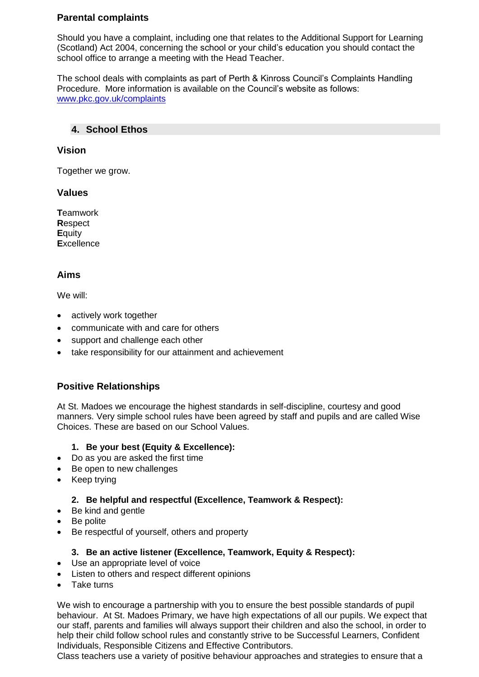#### **Parental complaints**

Should you have a complaint, including one that relates to the Additional Support for Learning (Scotland) Act 2004, concerning the school or your child's education you should contact the school office to arrange a meeting with the Head Teacher.

The school deals with complaints as part of Perth & Kinross Council's Complaints Handling Procedure. More information is available on the Council's website as follows: [www.pkc.gov.uk/complaints](http://www.pkc.gov.uk/complaints)

#### **4. School Ethos**

#### **Vision**

Together we grow.

#### **Values**

**T**eamwork **R**espect **E**quity **E**xcellence

#### **Aims**

We will:

- actively work together
- communicate with and care for others
- support and challenge each other
- take responsibility for our attainment and achievement

# **Positive Relationships**

At St. Madoes we encourage the highest standards in self-discipline, courtesy and good manners. Very simple school rules have been agreed by staff and pupils and are called Wise Choices. These are based on our School Values.

#### **1. Be your best (Equity & Excellence):**

- Do as you are asked the first time
- Be open to new challenges
- Keep trying

#### **2. Be helpful and respectful (Excellence, Teamwork & Respect):**

- Be kind and gentle
- Be polite
- Be respectful of yourself, others and property

#### **3. Be an active listener (Excellence, Teamwork, Equity & Respect):**

- Use an appropriate level of voice
- Listen to others and respect different opinions
- Take turns

We wish to encourage a partnership with you to ensure the best possible standards of pupil behaviour. At St. Madoes Primary, we have high expectations of all our pupils. We expect that our staff, parents and families will always support their children and also the school, in order to help their child follow school rules and constantly strive to be Successful Learners, Confident Individuals, Responsible Citizens and Effective Contributors.

Class teachers use a variety of positive behaviour approaches and strategies to ensure that a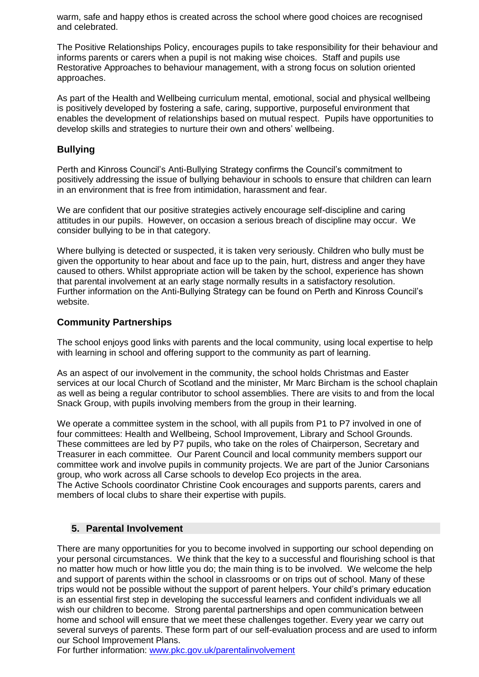warm, safe and happy ethos is created across the school where good choices are recognised and celebrated.

The Positive Relationships Policy, encourages pupils to take responsibility for their behaviour and informs parents or carers when a pupil is not making wise choices. Staff and pupils use Restorative Approaches to behaviour management, with a strong focus on solution oriented approaches.

As part of the Health and Wellbeing curriculum mental, emotional, social and physical wellbeing is positively developed by fostering a safe, caring, supportive, purposeful environment that enables the development of relationships based on mutual respect. Pupils have opportunities to develop skills and strategies to nurture their own and others' wellbeing.

# **Bullying**

Perth and Kinross Council's Anti-Bullying Strategy confirms the Council's commitment to positively addressing the issue of bullying behaviour in schools to ensure that children can learn in an environment that is free from intimidation, harassment and fear.

We are confident that our positive strategies actively encourage self-discipline and caring attitudes in our pupils. However, on occasion a serious breach of discipline may occur. We consider bullying to be in that category.

Where bullying is detected or suspected, it is taken very seriously. Children who bully must be given the opportunity to hear about and face up to the pain, hurt, distress and anger they have caused to others. Whilst appropriate action will be taken by the school, experience has shown that parental involvement at an early stage normally results in a satisfactory resolution. Further information on the Anti-Bullying Strategy can be found on Perth and Kinross Council's website.

# **Community Partnerships**

The school enjoys good links with parents and the local community, using local expertise to help with learning in school and offering support to the community as part of learning.

As an aspect of our involvement in the community, the school holds Christmas and Easter services at our local Church of Scotland and the minister, Mr Marc Bircham is the school chaplain as well as being a regular contributor to school assemblies. There are visits to and from the local Snack Group, with pupils involving members from the group in their learning.

We operate a committee system in the school, with all pupils from P1 to P7 involved in one of four committees: Health and Wellbeing, School Improvement, Library and School Grounds. These committees are led by P7 pupils, who take on the roles of Chairperson, Secretary and Treasurer in each committee. Our Parent Council and local community members support our committee work and involve pupils in community projects. We are part of the Junior Carsonians group, who work across all Carse schools to develop Eco projects in the area. The Active Schools coordinator Christine Cook encourages and supports parents, carers and members of local clubs to share their expertise with pupils.

#### **5. Parental Involvement**

There are many opportunities for you to become involved in supporting our school depending on your personal circumstances. We think that the key to a successful and flourishing school is that no matter how much or how little you do; the main thing is to be involved. We welcome the help and support of parents within the school in classrooms or on trips out of school. Many of these trips would not be possible without the support of parent helpers. Your child's primary education is an essential first step in developing the successful learners and confident individuals we all wish our children to become. Strong parental partnerships and open communication between home and school will ensure that we meet these challenges together. Every year we carry out several surveys of parents. These form part of our self-evaluation process and are used to inform our School Improvement Plans.

For further information: [www.pkc.gov.uk/parentalinvolvement](http://www.pkc.gov.uk/parentalinvolvement)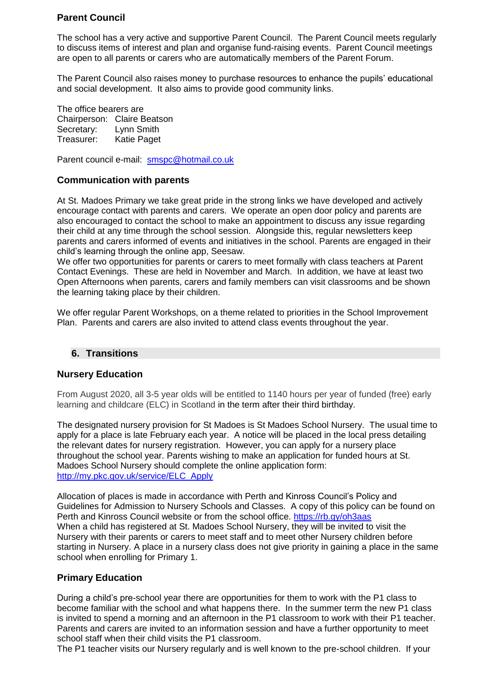# **Parent Council**

The school has a very active and supportive Parent Council. The Parent Council meets regularly to discuss items of interest and plan and organise fund-raising events. Parent Council meetings are open to all parents or carers who are automatically members of the Parent Forum.

The Parent Council also raises money to purchase resources to enhance the pupils' educational and social development. It also aims to provide good community links.

The office bearers are Chairperson: Claire Beatson Secretary: Lynn Smith Treasurer: Katie Paget

Parent council e-mail: [smspc@hotmail.co.uk](mailto:smspc@hotmail.co.uk)

#### **Communication with parents**

At St. Madoes Primary we take great pride in the strong links we have developed and actively encourage contact with parents and carers. We operate an open door policy and parents are also encouraged to contact the school to make an appointment to discuss any issue regarding their child at any time through the school session. Alongside this, regular newsletters keep parents and carers informed of events and initiatives in the school. Parents are engaged in their child's learning through the online app, Seesaw.

We offer two opportunities for parents or carers to meet formally with class teachers at Parent Contact Evenings. These are held in November and March. In addition, we have at least two Open Afternoons when parents, carers and family members can visit classrooms and be shown the learning taking place by their children.

We offer regular Parent Workshops, on a theme related to priorities in the School Improvement Plan. Parents and carers are also invited to attend class events throughout the year.

#### **6. Transitions**

#### **Nursery Education**

From August 2020, all 3-5 year olds will be entitled to 1140 hours per year of funded (free) early learning and childcare (ELC) in Scotland in the term after their third birthday.

The designated nursery provision for St Madoes is St Madoes School Nursery. The usual time to apply for a place is late February each year. A notice will be placed in the local press detailing the relevant dates for nursery registration. However, you can apply for a nursery place throughout the school year. Parents wishing to make an application for funded hours at St. Madoes School Nursery should complete the online application form: [http://my.pkc.gov.uk/service/ELC\\_Apply](http://my.pkc.gov.uk/service/ELC_Apply)

Allocation of places is made in accordance with Perth and Kinross Council's Policy and Guidelines for Admission to Nursery Schools and Classes. A copy of this policy can be found on Perth and Kinross Council website or from the school office. <https://rb.gy/oh3aas> When a child has registered at St. Madoes School Nursery, they will be invited to visit the Nursery with their parents or carers to meet staff and to meet other Nursery children before starting in Nursery. A place in a nursery class does not give priority in gaining a place in the same school when enrolling for Primary 1.

#### **Primary Education**

During a child's pre-school year there are opportunities for them to work with the P1 class to become familiar with the school and what happens there. In the summer term the new P1 class is invited to spend a morning and an afternoon in the P1 classroom to work with their P1 teacher. Parents and carers are invited to an information session and have a further opportunity to meet school staff when their child visits the P1 classroom.

The P1 teacher visits our Nursery regularly and is well known to the pre-school children. If your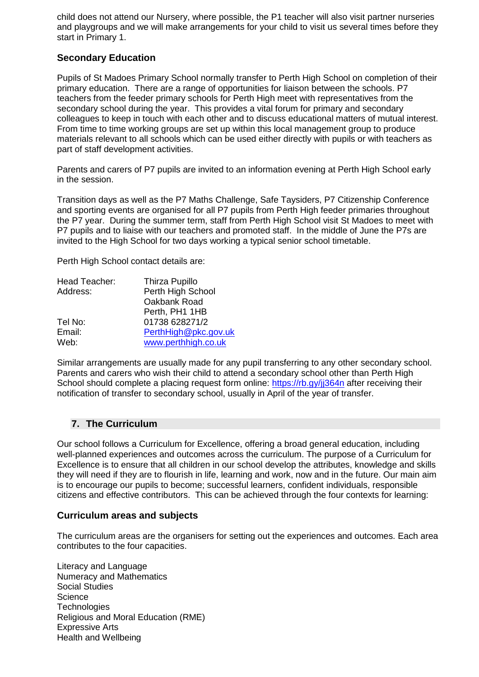child does not attend our Nursery, where possible, the P1 teacher will also visit partner nurseries and playgroups and we will make arrangements for your child to visit us several times before they start in Primary 1.

#### **Secondary Education**

Pupils of St Madoes Primary School normally transfer to Perth High School on completion of their primary education. There are a range of opportunities for liaison between the schools. P7 teachers from the feeder primary schools for Perth High meet with representatives from the secondary school during the year. This provides a vital forum for primary and secondary colleagues to keep in touch with each other and to discuss educational matters of mutual interest. From time to time working groups are set up within this local management group to produce materials relevant to all schools which can be used either directly with pupils or with teachers as part of staff development activities.

Parents and carers of P7 pupils are invited to an information evening at Perth High School early in the session.

Transition days as well as the P7 Maths Challenge, Safe Taysiders, P7 Citizenship Conference and sporting events are organised for all P7 pupils from Perth High feeder primaries throughout the P7 year. During the summer term, staff from Perth High School visit St Madoes to meet with P7 pupils and to liaise with our teachers and promoted staff. In the middle of June the P7s are invited to the High School for two days working a typical senior school timetable.

Perth High School contact details are:

| Head Teacher: | Thirza Pupillo       |  |  |
|---------------|----------------------|--|--|
| Address:      | Perth High School    |  |  |
|               | Oakbank Road         |  |  |
|               | Perth, PH1 1HB       |  |  |
| Tel No:       | 01738 628271/2       |  |  |
| Email:        | PerthHigh@pkc.gov.uk |  |  |
| Web:          | www.perthhigh.co.uk  |  |  |

Similar arrangements are usually made for any pupil transferring to any other secondary school. Parents and carers who wish their child to attend a secondary school other than Perth High School should complete a placing request form online: https://rb.gy/ij364n after receiving their notification of transfer to secondary school, usually in April of the year of transfer.

#### **7. The Curriculum**

Our school follows a Curriculum for Excellence, offering a broad general education, including well-planned experiences and outcomes across the curriculum. The purpose of a Curriculum for Excellence is to ensure that all children in our school develop the attributes, knowledge and skills they will need if they are to flourish in life, learning and work, now and in the future. Our main aim is to encourage our pupils to become; successful learners, confident individuals, responsible citizens and effective contributors. This can be achieved through the four contexts for learning:

#### **Curriculum areas and subjects**

The curriculum areas are the organisers for setting out the experiences and outcomes. Each area contributes to the four capacities.

Literacy and Language Numeracy and Mathematics Social Studies **Science Technologies** Religious and Moral Education (RME) Expressive Arts Health and Wellbeing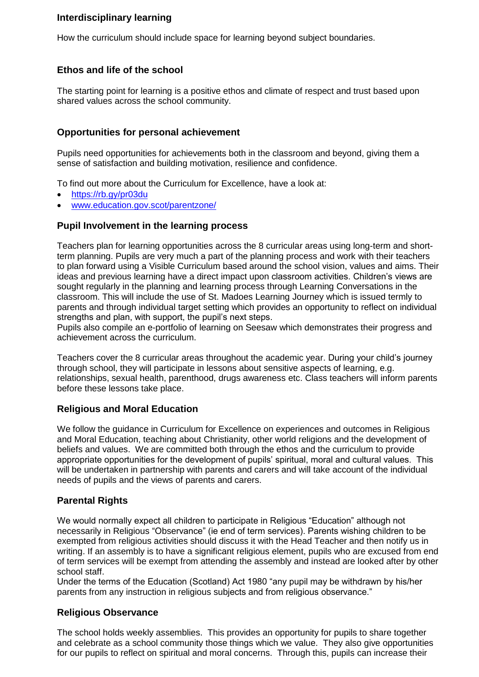# **Interdisciplinary learning**

How the curriculum should include space for learning beyond subject boundaries.

# **Ethos and life of the school**

The starting point for learning is a positive ethos and climate of respect and trust based upon shared values across the school community.

#### **Opportunities for personal achievement**

Pupils need opportunities for achievements both in the classroom and beyond, giving them a sense of satisfaction and building motivation, resilience and confidence.

To find out more about the Curriculum for Excellence, have a look at:

- <https://rb.gy/pr03du>
- [www.education.gov.scot/parentzone/](http://www.education.gov.scot/parentzone/)

#### **Pupil Involvement in the learning process**

Teachers plan for learning opportunities across the 8 curricular areas using long-term and shortterm planning. Pupils are very much a part of the planning process and work with their teachers to plan forward using a Visible Curriculum based around the school vision, values and aims. Their ideas and previous learning have a direct impact upon classroom activities. Children's views are sought regularly in the planning and learning process through Learning Conversations in the classroom. This will include the use of St. Madoes Learning Journey which is issued termly to parents and through individual target setting which provides an opportunity to reflect on individual strengths and plan, with support, the pupil's next steps.

Pupils also compile an e-portfolio of learning on Seesaw which demonstrates their progress and achievement across the curriculum.

Teachers cover the 8 curricular areas throughout the academic year. During your child's journey through school, they will participate in lessons about sensitive aspects of learning, e.g. relationships, sexual health, parenthood, drugs awareness etc. Class teachers will inform parents before these lessons take place.

#### **Religious and Moral Education**

We follow the guidance in Curriculum for Excellence on experiences and outcomes in Religious and Moral Education, teaching about Christianity, other world religions and the development of beliefs and values. We are committed both through the ethos and the curriculum to provide appropriate opportunities for the development of pupils' spiritual, moral and cultural values. This will be undertaken in partnership with parents and carers and will take account of the individual needs of pupils and the views of parents and carers.

#### **Parental Rights**

We would normally expect all children to participate in Religious "Education" although not necessarily in Religious "Observance" (ie end of term services). Parents wishing children to be exempted from religious activities should discuss it with the Head Teacher and then notify us in writing. If an assembly is to have a significant religious element, pupils who are excused from end of term services will be exempt from attending the assembly and instead are looked after by other school staff.

Under the terms of the Education (Scotland) Act 1980 "any pupil may be withdrawn by his/her parents from any instruction in religious subjects and from religious observance."

#### **Religious Observance**

The school holds weekly assemblies. This provides an opportunity for pupils to share together and celebrate as a school community those things which we value. They also give opportunities for our pupils to reflect on spiritual and moral concerns. Through this, pupils can increase their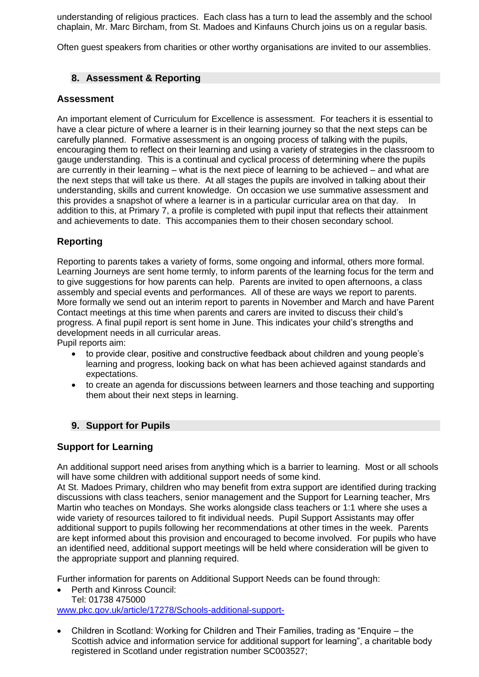understanding of religious practices. Each class has a turn to lead the assembly and the school chaplain, Mr. Marc Bircham, from St. Madoes and Kinfauns Church joins us on a regular basis.

Often guest speakers from charities or other worthy organisations are invited to our assemblies.

# **8. Assessment & Reporting**

#### **Assessment**

An important element of Curriculum for Excellence is assessment. For teachers it is essential to have a clear picture of where a learner is in their learning journey so that the next steps can be carefully planned. Formative assessment is an ongoing process of talking with the pupils, encouraging them to reflect on their learning and using a variety of strategies in the classroom to gauge understanding. This is a continual and cyclical process of determining where the pupils are currently in their learning – what is the next piece of learning to be achieved – and what are the next steps that will take us there. At all stages the pupils are involved in talking about their understanding, skills and current knowledge. On occasion we use summative assessment and this provides a snapshot of where a learner is in a particular curricular area on that day. In addition to this, at Primary 7, a profile is completed with pupil input that reflects their attainment and achievements to date. This accompanies them to their chosen secondary school.

# **Reporting**

Reporting to parents takes a variety of forms, some ongoing and informal, others more formal. Learning Journeys are sent home termly, to inform parents of the learning focus for the term and to give suggestions for how parents can help. Parents are invited to open afternoons, a class assembly and special events and performances. All of these are ways we report to parents. More formally we send out an interim report to parents in November and March and have Parent Contact meetings at this time when parents and carers are invited to discuss their child's progress. A final pupil report is sent home in June. This indicates your child's strengths and development needs in all curricular areas.

Pupil reports aim:

- to provide clear, positive and constructive feedback about children and young people's learning and progress, looking back on what has been achieved against standards and expectations.
- to create an agenda for discussions between learners and those teaching and supporting them about their next steps in learning.

#### **9. Support for Pupils**

#### **Support for Learning**

An additional support need arises from anything which is a barrier to learning. Most or all schools will have some children with additional support needs of some kind.

At St. Madoes Primary, children who may benefit from extra support are identified during tracking discussions with class teachers, senior management and the Support for Learning teacher, Mrs Martin who teaches on Mondays. She works alongside class teachers or 1:1 where she uses a wide variety of resources tailored to fit individual needs. Pupil Support Assistants may offer additional support to pupils following her recommendations at other times in the week. Parents are kept informed about this provision and encouraged to become involved. For pupils who have an identified need, additional support meetings will be held where consideration will be given to the appropriate support and planning required.

Further information for parents on Additional Support Needs can be found through:

• Perth and Kinross Council:

- Tel: 01738 475000 [www.pkc.gov.uk/article/17278/Schools-additional-support-](http://www.pkc.gov.uk/article/17278/Schools-additional-support-)
- Children in Scotland: Working for Children and Their Families, trading as "Enquire the Scottish advice and information service for additional support for learning", a charitable body registered in Scotland under registration number SC003527;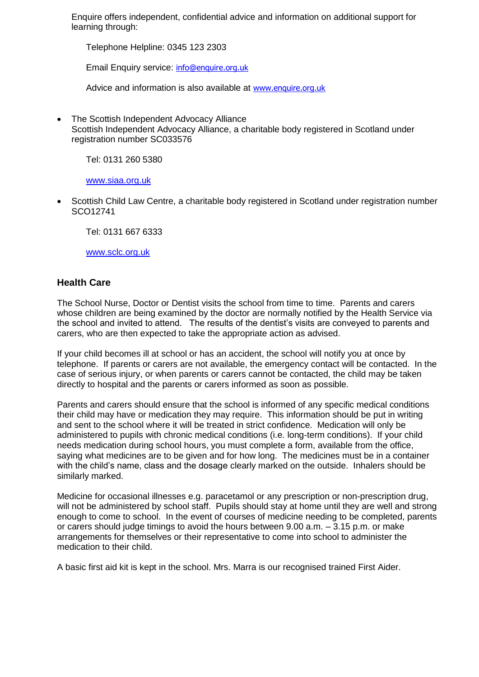Enquire offers independent, confidential advice and information on additional support for learning through:

Telephone Helpline: 0345 123 2303

Email Enquiry service: [info@enquire.org.uk](mailto:info@enquire.org.uk)

Advice and information is also available at [www.enquire.org.uk](http://www.enquire.org.uk/)

• The Scottish Independent Advocacy Alliance Scottish Independent Advocacy Alliance, a charitable body registered in Scotland under registration number SC033576

Tel: 0131 260 5380

[www.siaa.org.uk](http://www.siaa.org.uk/)

• Scottish Child Law Centre, a charitable body registered in Scotland under registration number SCO12741

Tel: 0131 667 6333

[www.sclc.org.uk](http://www.sclc.org.uk/)

#### **Health Care**

The School Nurse, Doctor or Dentist visits the school from time to time. Parents and carers whose children are being examined by the doctor are normally notified by the Health Service via the school and invited to attend. The results of the dentist's visits are conveyed to parents and carers, who are then expected to take the appropriate action as advised.

If your child becomes ill at school or has an accident, the school will notify you at once by telephone. If parents or carers are not available, the emergency contact will be contacted. In the case of serious injury, or when parents or carers cannot be contacted, the child may be taken directly to hospital and the parents or carers informed as soon as possible.

Parents and carers should ensure that the school is informed of any specific medical conditions their child may have or medication they may require. This information should be put in writing and sent to the school where it will be treated in strict confidence. Medication will only be administered to pupils with chronic medical conditions (i.e. long-term conditions). If your child needs medication during school hours, you must complete a form, available from the office, saying what medicines are to be given and for how long. The medicines must be in a container with the child's name, class and the dosage clearly marked on the outside. Inhalers should be similarly marked.

Medicine for occasional illnesses e.g. paracetamol or any prescription or non-prescription drug, will not be administered by school staff. Pupils should stay at home until they are well and strong enough to come to school. In the event of courses of medicine needing to be completed, parents or carers should judge timings to avoid the hours between 9.00 a.m. – 3.15 p.m. or make arrangements for themselves or their representative to come into school to administer the medication to their child.

A basic first aid kit is kept in the school. Mrs. Marra is our recognised trained First Aider.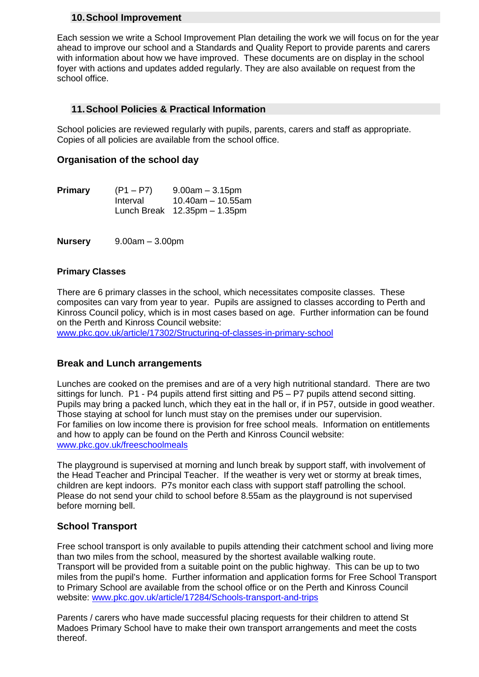#### **10.School Improvement**

Each session we write a School Improvement Plan detailing the work we will focus on for the year ahead to improve our school and a Standards and Quality Report to provide parents and carers with information about how we have improved. These documents are on display in the school foyer with actions and updates added regularly. They are also available on request from the school office.

# **11.School Policies & Practical Information**

School policies are reviewed regularly with pupils, parents, carers and staff as appropriate. Copies of all policies are available from the school office.

#### **Organisation of the school day**

| <b>Primary</b> | $(P1 - P7)$ | $9.00$ am $-3.15$ pm                           |
|----------------|-------------|------------------------------------------------|
|                | Interval    | $10.40$ am – 10.55am                           |
|                |             | Lunch Break $12.35 \text{pm} - 1.35 \text{pm}$ |

**Nursery** 9.00am – 3.00pm

#### **Primary Classes**

There are 6 primary classes in the school, which necessitates composite classes. These composites can vary from year to year. Pupils are assigned to classes according to Perth and Kinross Council policy, which is in most cases based on age. Further information can be found on the Perth and Kinross Council website:

[www.pkc.gov.uk/article/17302/Structuring-of-classes-in-primary-school](http://www.pkc.gov.uk/article/17302/Structuring-of-classes-in-primary-school)

#### **Break and Lunch arrangements**

Lunches are cooked on the premises and are of a very high nutritional standard. There are two sittings for lunch. P1 - P4 pupils attend first sitting and P5 – P7 pupils attend second sitting. Pupils may bring a packed lunch, which they eat in the hall or, if in P57, outside in good weather. Those staying at school for lunch must stay on the premises under our supervision. For families on low income there is provision for free school meals. Information on entitlements and how to apply can be found on the Perth and Kinross Council website: [www.pkc.gov.uk/freeschoolmeals](http://www.pkc.gov.uk/freeschoolmeals)

The playground is supervised at morning and lunch break by support staff, with involvement of the Head Teacher and Principal Teacher. If the weather is very wet or stormy at break times, children are kept indoors. P7s monitor each class with support staff patrolling the school. Please do not send your child to school before 8.55am as the playground is not supervised before morning bell.

#### **School Transport**

Free school transport is only available to pupils attending their catchment school and living more than two miles from the school, measured by the shortest available walking route. Transport will be provided from a suitable point on the public highway. This can be up to two miles from the pupil's home. Further information and application forms for Free School Transport to Primary School are available from the school office or on the Perth and Kinross Council website: [www.pkc.gov.uk/article/17284/Schools-transport-and-trips](http://www.pkc.gov.uk/article/17284/Schools-transport-and-trips)

Parents / carers who have made successful placing requests for their children to attend St Madoes Primary School have to make their own transport arrangements and meet the costs thereof.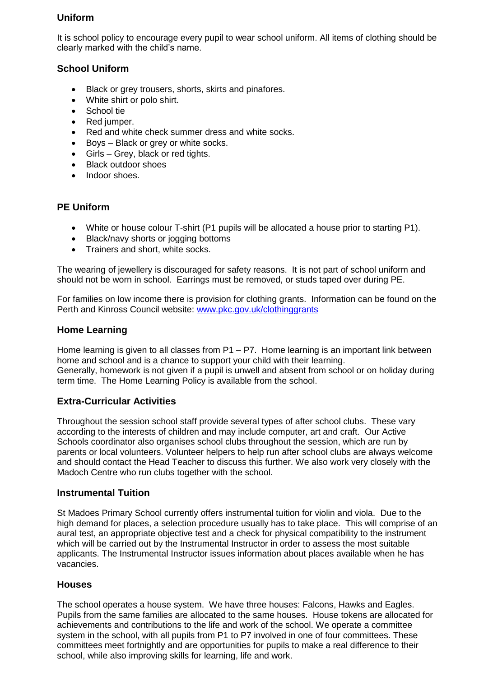# **Uniform**

It is school policy to encourage every pupil to wear school uniform. All items of clothing should be clearly marked with the child's name.

# **School Uniform**

- Black or grey trousers, shorts, skirts and pinafores.
- White shirt or polo shirt.
- School tie
- Red jumper.
- Red and white check summer dress and white socks.
- Boys Black or grey or white socks.
- Girls Grey, black or red tights.
- Black outdoor shoes
- Indoor shoes.

# **PE Uniform**

- White or house colour T-shirt (P1 pupils will be allocated a house prior to starting P1).
- Black/navy shorts or jogging bottoms
- Trainers and short, white socks.

The wearing of jewellery is discouraged for safety reasons. It is not part of school uniform and should not be worn in school. Earrings must be removed, or studs taped over during PE.

For families on low income there is provision for clothing grants. Information can be found on the Perth and Kinross Council website: [www.pkc.gov.uk/clothinggrants](http://www.pkc.gov.uk/clothinggrants)

#### **Home Learning**

Home learning is given to all classes from P1 – P7. Home learning is an important link between home and school and is a chance to support your child with their learning. Generally, homework is not given if a pupil is unwell and absent from school or on holiday during term time. The Home Learning Policy is available from the school.

#### **Extra-Curricular Activities**

Throughout the session school staff provide several types of after school clubs. These vary according to the interests of children and may include computer, art and craft. Our Active Schools coordinator also organises school clubs throughout the session, which are run by parents or local volunteers. Volunteer helpers to help run after school clubs are always welcome and should contact the Head Teacher to discuss this further. We also work very closely with the Madoch Centre who run clubs together with the school.

#### **Instrumental Tuition**

St Madoes Primary School currently offers instrumental tuition for violin and viola. Due to the high demand for places, a selection procedure usually has to take place. This will comprise of an aural test, an appropriate objective test and a check for physical compatibility to the instrument which will be carried out by the Instrumental Instructor in order to assess the most suitable applicants. The Instrumental Instructor issues information about places available when he has vacancies.

#### **Houses**

The school operates a house system. We have three houses: Falcons, Hawks and Eagles. Pupils from the same families are allocated to the same houses. House tokens are allocated for achievements and contributions to the life and work of the school. We operate a committee system in the school, with all pupils from P1 to P7 involved in one of four committees. These committees meet fortnightly and are opportunities for pupils to make a real difference to their school, while also improving skills for learning, life and work.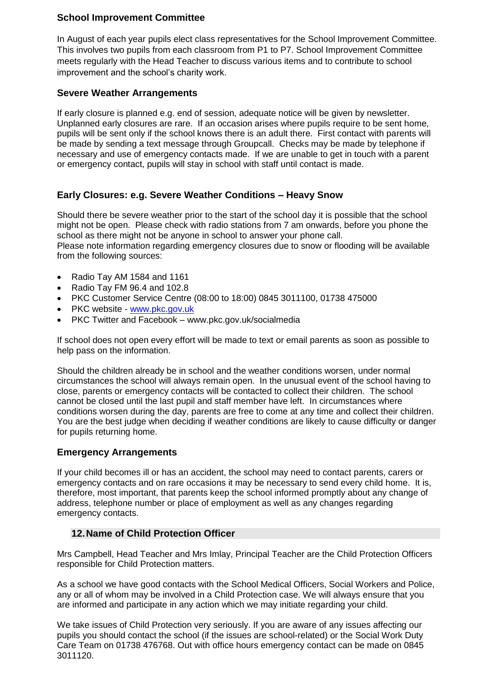### **School Improvement Committee**

In August of each year pupils elect class representatives for the School Improvement Committee. This involves two pupils from each classroom from P1 to P7. School Improvement Committee meets regularly with the Head Teacher to discuss various items and to contribute to school improvement and the school's charity work.

#### **Severe Weather Arrangements**

If early closure is planned e.g. end of session, adequate notice will be given by newsletter. Unplanned early closures are rare. If an occasion arises where pupils require to be sent home, pupils will be sent only if the school knows there is an adult there. First contact with parents will be made by sending a text message through Groupcall. Checks may be made by telephone if necessary and use of emergency contacts made. If we are unable to get in touch with a parent or emergency contact, pupils will stay in school with staff until contact is made.

# **Early Closures: e.g. Severe Weather Conditions – Heavy Snow**

Should there be severe weather prior to the start of the school day it is possible that the school might not be open. Please check with radio stations from 7 am onwards, before you phone the school as there might not be anyone in school to answer your phone call.

Please note information regarding emergency closures due to snow or flooding will be available from the following sources:

- Radio Tay AM 1584 and 1161
- Radio Tay FM 96.4 and 102.8
- PKC Customer Service Centre (08:00 to 18:00) 0845 3011100, 01738 475000
- PKC website [www.pkc.gov.uk](http://www.pkc.gov.uk/)
- PKC Twitter and Facebook www.pkc.gov.uk/socialmedia

If school does not open every effort will be made to text or email parents as soon as possible to help pass on the information.

Should the children already be in school and the weather conditions worsen, under normal circumstances the school will always remain open. In the unusual event of the school having to close, parents or emergency contacts will be contacted to collect their children. The school cannot be closed until the last pupil and staff member have left. In circumstances where conditions worsen during the day, parents are free to come at any time and collect their children. You are the best judge when deciding if weather conditions are likely to cause difficulty or danger for pupils returning home.

#### **Emergency Arrangements**

If your child becomes ill or has an accident, the school may need to contact parents, carers or emergency contacts and on rare occasions it may be necessary to send every child home. It is, therefore, most important, that parents keep the school informed promptly about any change of address, telephone number or place of employment as well as any changes regarding emergency contacts.

#### **12.Name of Child Protection Officer**

Mrs Campbell, Head Teacher and Mrs Imlay, Principal Teacher are the Child Protection Officers responsible for Child Protection matters.

As a school we have good contacts with the School Medical Officers, Social Workers and Police, any or all of whom may be involved in a Child Protection case. We will always ensure that you are informed and participate in any action which we may initiate regarding your child.

We take issues of Child Protection very seriously. If you are aware of any issues affecting our pupils you should contact the school (if the issues are school-related) or the Social Work Duty Care Team on 01738 476768. Out with office hours emergency contact can be made on 0845 3011120.